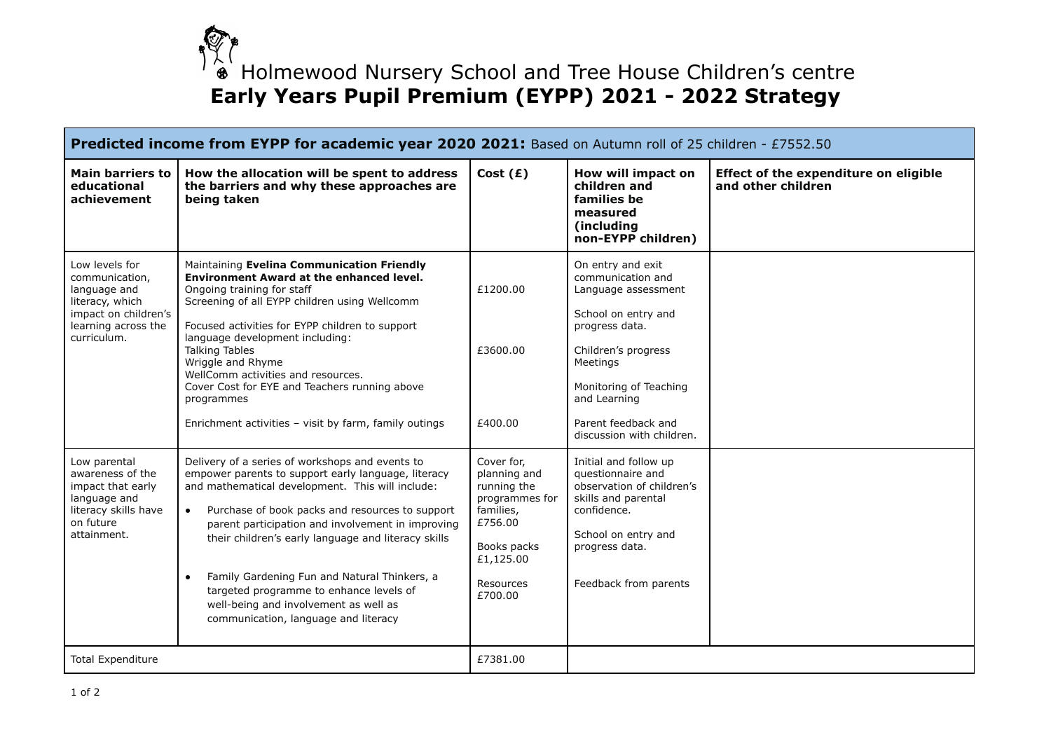$\hat{\bullet}$  Holmewood Nursery School and Tree House Children's centre **Early Years Pupil Premium (EYPP) 2021 - 2022 Strategy**

| <b>Predicted income from EYPP for academic year 2020 2021:</b> Based on Autumn roll of 25 children - £7552.50                     |                                                                                                                                                                                                                                                                                                                                                                                                                                                                                                                                 |                                                                                                                                         |                                                                                                                                                                                                              |                                                             |
|-----------------------------------------------------------------------------------------------------------------------------------|---------------------------------------------------------------------------------------------------------------------------------------------------------------------------------------------------------------------------------------------------------------------------------------------------------------------------------------------------------------------------------------------------------------------------------------------------------------------------------------------------------------------------------|-----------------------------------------------------------------------------------------------------------------------------------------|--------------------------------------------------------------------------------------------------------------------------------------------------------------------------------------------------------------|-------------------------------------------------------------|
| Main barriers to<br>educational<br>achievement                                                                                    | How the allocation will be spent to address<br>the barriers and why these approaches are<br>being taken                                                                                                                                                                                                                                                                                                                                                                                                                         | Cost $(E)$                                                                                                                              | How will impact on<br>children and<br>families be<br>measured<br>(including<br>non-EYPP children)                                                                                                            | Effect of the expenditure on eligible<br>and other children |
| Low levels for<br>communication,<br>language and<br>literacy, which<br>impact on children's<br>learning across the<br>curriculum. | Maintaining Evelina Communication Friendly<br><b>Environment Award at the enhanced level.</b><br>Ongoing training for staff<br>Screening of all EYPP children using Wellcomm<br>Focused activities for EYPP children to support<br>language development including:<br><b>Talking Tables</b><br>Wriggle and Rhyme<br>WellComm activities and resources.<br>Cover Cost for EYE and Teachers running above<br>programmes<br>Enrichment activities - visit by farm, family outings                                                  | £1200.00<br>£3600.00<br>£400.00                                                                                                         | On entry and exit<br>communication and<br>Language assessment<br>School on entry and<br>progress data.<br>Children's progress<br>Meetings<br>Monitoring of Teaching<br>and Learning<br>Parent feedback and   |                                                             |
| Low parental<br>awareness of the<br>impact that early<br>language and<br>literacy skills have<br>on future<br>attainment.         | Delivery of a series of workshops and events to<br>empower parents to support early language, literacy<br>and mathematical development. This will include:<br>$\bullet$<br>Purchase of book packs and resources to support<br>parent participation and involvement in improving<br>their children's early language and literacy skills<br>Family Gardening Fun and Natural Thinkers, a<br>$\bullet$<br>targeted programme to enhance levels of<br>well-being and involvement as well as<br>communication, language and literacy | Cover for.<br>planning and<br>running the<br>programmes for<br>families.<br>£756.00<br>Books packs<br>£1,125.00<br>Resources<br>£700.00 | discussion with children.<br>Initial and follow up<br>questionnaire and<br>observation of children's<br>skills and parental<br>confidence.<br>School on entry and<br>progress data.<br>Feedback from parents |                                                             |
| <b>Total Expenditure</b>                                                                                                          |                                                                                                                                                                                                                                                                                                                                                                                                                                                                                                                                 | £7381.00                                                                                                                                |                                                                                                                                                                                                              |                                                             |